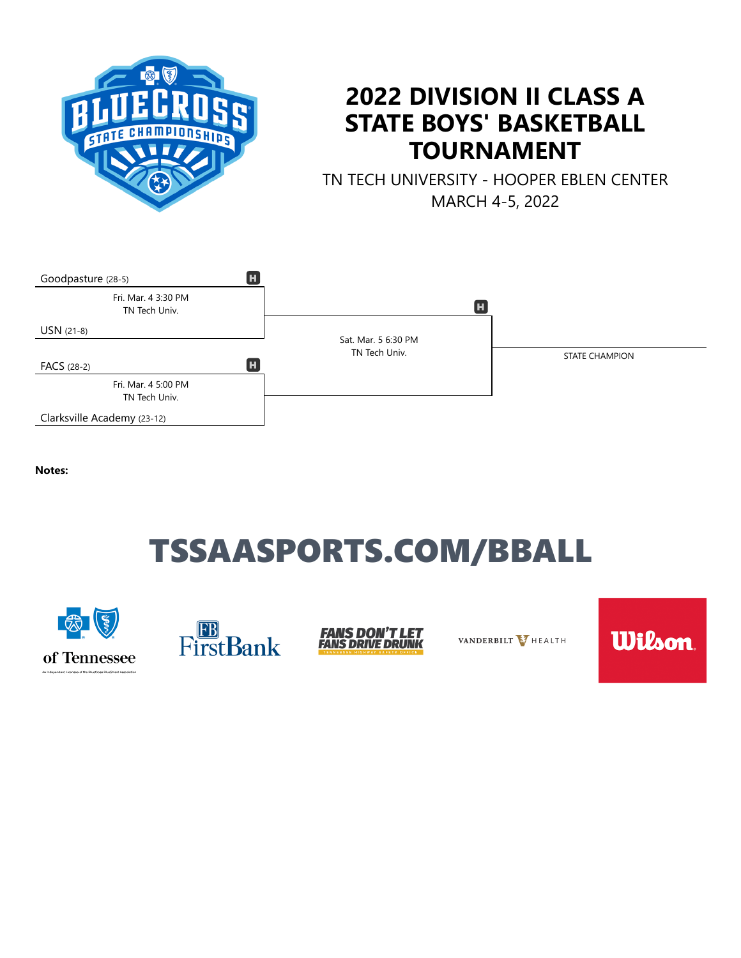

## **2022 DIVISION II CLASS A STATE BOYS' BASKETBALL TOURNAMENT**

TN TECH UNIVERSITY - HOOPER EBLEN CENTER MARCH 4-5, 2022



**Notes:**

# TSSAASPORTS.COM/BBALL





**FANS DON'T LET<br>FANS DRIVE DRUNK** 

VANDERBILT V HEALTH

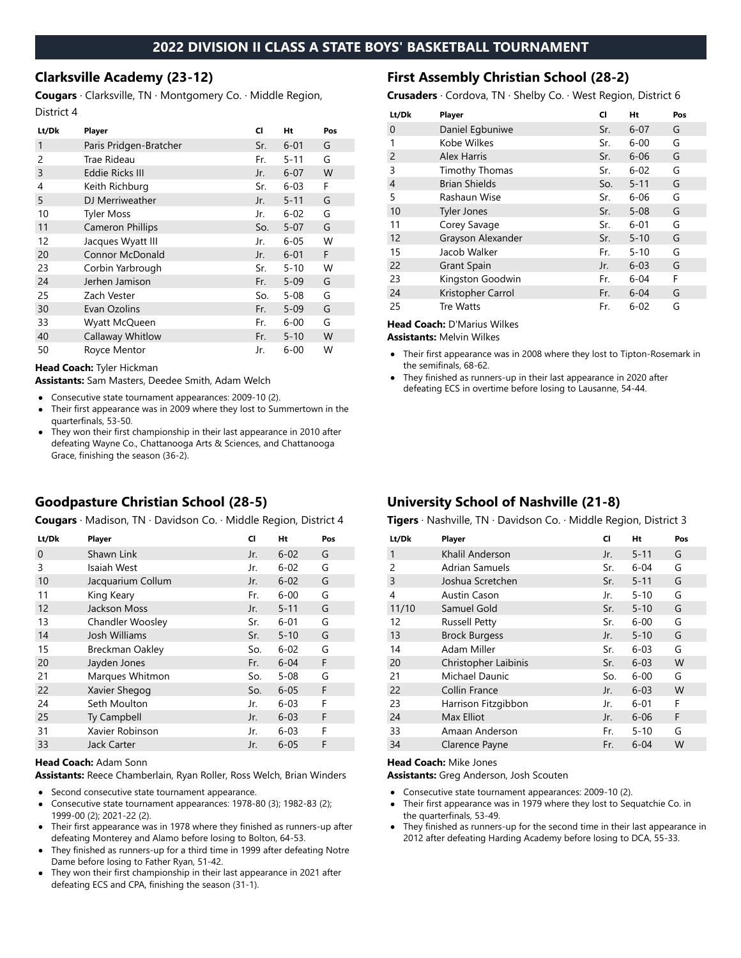### **2022 DIVISION II CLASS A STATE BOYS' BASKETBALL TOURNAMENT**

#### **Clarksville Academy (23-12)**

**Cougars** · Clarksville, TN · Montgomery Co. · Middle Region, District 4

| Lt/Dk | Player                  | CI  | Ht       | Pos |
|-------|-------------------------|-----|----------|-----|
| 1     | Paris Pridgen-Bratcher  | Sr. | $6 - 01$ | G   |
| 2     | Trae Rideau             | Fr. | $5 - 11$ | G   |
| 3     | <b>Eddie Ricks III</b>  | Jr. | $6 - 07$ | W   |
| 4     | Keith Richburg          | Sr. | $6 - 03$ | F   |
| 5     | DJ Merriweather         | Jr. | $5 - 11$ | G   |
| 10    | <b>Tyler Moss</b>       | Jr. | $6 - 02$ | G   |
| 11    | <b>Cameron Phillips</b> | So. | $5 - 07$ | G   |
| 12    | Jacques Wyatt III       | Jr. | $6 - 05$ | W   |
| 20    | Connor McDonald         | Jr. | $6 - 01$ | F   |
| 23    | Corbin Yarbrough        | Sr. | $5 - 10$ | W   |
| 24    | Jerhen Jamison          | Fr. | $5 - 09$ | G   |
| 25    | Zach Vester             | So. | $5 - 08$ | G   |
| 30    | Evan Ozolins            | Fr. | $5 - 09$ | G   |
| 33    | Wyatt McQueen           | Fr. | $6 - 00$ | G   |
| 40    | Callaway Whitlow        | Fr. | $5 - 10$ | W   |
| 50    | Royce Mentor            | Jr. | $6 - 00$ | W   |

#### **Head Coach:** Tyler Hickman

**Assistants:** Sam Masters, Deedee Smith, Adam Welch

- Consecutive state tournament appearances: 2009-10 (2).
- Their first appearance was in 2009 where they lost to Summertown in the quarterfinals, 53-50.
- They won their first championship in their last appearance in 2010 after defeating Wayne Co., Chattanooga Arts & Sciences, and Chattanooga Grace, finishing the season (36-2).

### **Goodpasture Christian School (28-5)**

**Cougars** · Madison, TN · Davidson Co. · Middle Region, District 4

| Lt/Dk | Player                  | CI  | Ht       | Pos |
|-------|-------------------------|-----|----------|-----|
| 0     | Shawn Link              | Jr. | $6 - 02$ | G   |
| 3     | Isaiah West             | Jr. | $6 - 02$ | G   |
| 10    | Jacquarium Collum       | Jr. | $6 - 02$ | G   |
| 11    | King Keary              | Fr. | $6 - 00$ | G   |
| 12    | Jackson Moss            | Jr. | $5 - 11$ | G   |
| 13    | <b>Chandler Woosley</b> | Sr. | $6 - 01$ | G   |
| 14    | Josh Williams           | Sr. | $5 - 10$ | G   |
| 15    | <b>Breckman Oakley</b>  | So. | $6 - 02$ | G   |
| 20    | Jayden Jones            | Fr. | $6 - 04$ | F   |
| 21    | Marques Whitmon         | So. | $5 - 08$ | G   |
| 22    | Xavier Shegog           | So. | $6 - 05$ | F   |
| 24    | Seth Moulton            | Jr. | $6 - 03$ | F   |
| 25    | Ty Campbell             | Jr. | $6 - 03$ | F   |
| 31    | Xavier Robinson         | Jr. | $6 - 03$ | F   |
| 33    | Jack Carter             | Jr. | $6 - 05$ | F   |

#### **Head Coach:** Adam Sonn

**Assistants:** Reece Chamberlain, Ryan Roller, Ross Welch, Brian Winders

- Second consecutive state tournament appearance.
- Consecutive state tournament appearances: 1978-80 (3); 1982-83 (2);  $\bullet$ 1999-00 (2); 2021-22 (2).
- Their first appearance was in 1978 where they finished as runners-up after defeating Monterey and Alamo before losing to Bolton, 64-53.
- They finished as runners-up for a third time in 1999 after defeating Notre Dame before losing to Father Ryan, 51-42.
- They won their first championship in their last appearance in 2021 after defeating ECS and CPA, finishing the season (31-1).

#### **First Assembly Christian School (28-2)**

**Crusaders** · Cordova, TN · Shelby Co. · West Region, District 6

| Lt/Dk          | Player                | CI  | Ht       | Pos |
|----------------|-----------------------|-----|----------|-----|
| 0              | Daniel Egbuniwe       | Sr. | $6 - 07$ | G   |
| 1              | Kobe Wilkes           | Sr. | $6 - 00$ | G   |
| $\overline{2}$ | <b>Alex Harris</b>    | Sr. | $6 - 06$ | G   |
| 3              | <b>Timothy Thomas</b> | Sr. | $6 - 02$ | G   |
| 4              | <b>Brian Shields</b>  | So. | $5 - 11$ | G   |
| 5              | Rashaun Wise          | Sr. | $6 - 06$ | G   |
| 10             | <b>Tyler Jones</b>    | Sr. | $5 - 08$ | G   |
| 11             | Corey Savage          | Sr. | $6 - 01$ | G   |
| 12             | Grayson Alexander     | Sr. | $5 - 10$ | G   |
| 15             | Jacob Walker          | Fr. | $5 - 10$ | G   |
| 22             | <b>Grant Spain</b>    | Jr. | $6 - 03$ | G   |
| 23             | Kingston Goodwin      | Fr. | $6 - 04$ | F   |
| 24             | Kristopher Carrol     | Fr. | $6 - 04$ | G   |
| 25             | Tre Watts             | Fr. | $6 - 02$ | G   |

**Head Coach:** D'Marius Wilkes

**Assistants:** Melvin Wilkes

- Their first appearance was in 2008 where they lost to Tipton-Rosemark in the semifinals, 68-62.
- They finished as runners-up in their last appearance in 2020 after  $\bullet$ defeating ECS in overtime before losing to Lausanne, 54-44.

## **University School of Nashville (21-8)**

**Tigers** · Nashville, TN · Davidson Co. · Middle Region, District 3

| Lt/Dk          | Player                | CI  | Ht       | Pos |
|----------------|-----------------------|-----|----------|-----|
| 1              | Khalil Anderson       | Jr. | $5 - 11$ | G   |
| $\overline{2}$ | <b>Adrian Samuels</b> | Sr. | $6 - 04$ | G   |
| $\overline{3}$ | Joshua Scretchen      | Sr. | $5 - 11$ | G   |
| 4              | Austin Cason          | Jr. | $5 - 10$ | G   |
| 11/10          | Samuel Gold           | Sr. | $5 - 10$ | G   |
| 12             | <b>Russell Petty</b>  | Sr. | $6 - 00$ | G   |
| 13             | <b>Brock Burgess</b>  | Jr. | $5 - 10$ | G   |
| 14             | Adam Miller           | Sr. | $6 - 03$ | G   |
| 20             | Christopher Laibinis  | Sr. | $6 - 03$ | W   |
| 21             | Michael Daunic        | So. | $6 - 00$ | G   |
| 22             | Collin France         | Jr. | $6 - 03$ | W   |
| 23             | Harrison Fitzgibbon   | Jr. | $6 - 01$ | F   |
| 24             | Max Elliot            | Jr. | $6 - 06$ | F   |
| 33             | Amaan Anderson        | Fr. | $5 - 10$ | G   |
| 34             | Clarence Payne        | Fr. | $6 - 04$ | W   |

#### **Head Coach:** Mike Jones

**Assistants:** Greg Anderson, Josh Scouten

- Consecutive state tournament appearances: 2009-10 (2).  $\bullet$
- Their first appearance was in 1979 where they lost to Sequatchie Co. in  $\bullet$ the quarterfinals, 53-49.
- They finished as runners-up for the second time in their last appearance in 2012 after defeating Harding Academy before losing to DCA, 55-33.